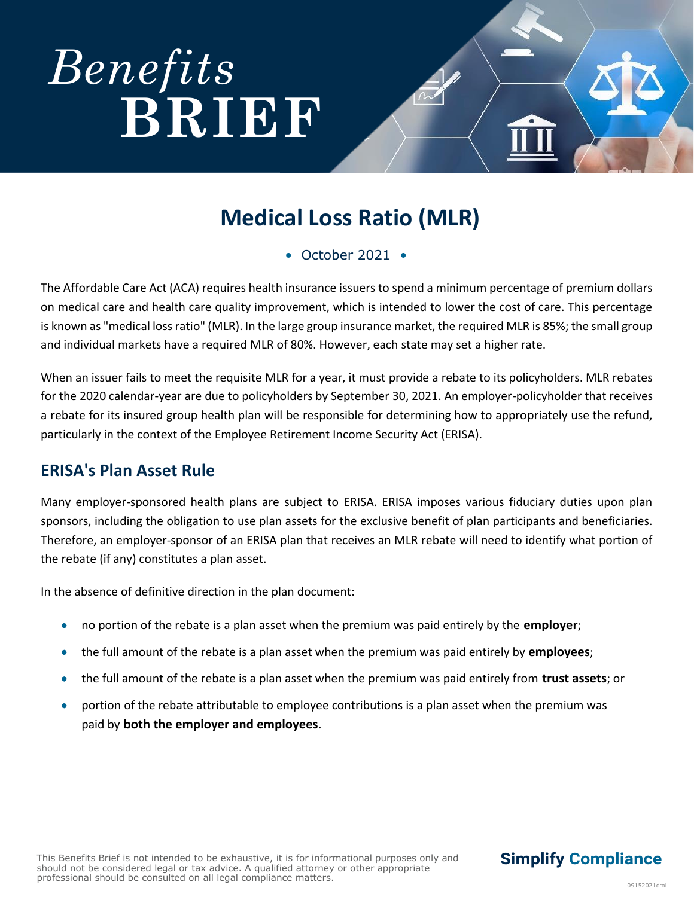# *[Benefits](http://www.cowdenassociates.com)*  **BRIEF**

## **Medical Loss Ratio (MLR)**

• October 2021 •

The Affordable Care Act (ACA) requires health insurance issuers to spend a minimum percentage of premium dollars on medical care and health care quality improvement, which is intended to lower the cost of care. This percentage is known as "medical loss ratio" (MLR). In the large group insurance market, the required MLR is 85%; the small group and individual markets have a required MLR of 80%. However, each state may set a higher rate.

When an issuer fails to meet the requisite MLR for a year, it must provide a rebate to its policyholders. MLR rebates for the 2020 calendar-year are due to policyholders by September 30, 2021. An employer-policyholder that receives a rebate for its insured group health plan will be responsible for determining how to appropriately use the refund, particularly in the context of the Employee Retirement Income Security Act (ERISA).

#### **ERISA's Plan Asset Rule**

Many employer-sponsored health plans are subject to ERISA. ERISA imposes various fiduciary duties upon plan sponsors, including the obligation to use plan assets for the exclusive benefit of plan participants and beneficiaries. Therefore, an employer-sponsor of an ERISA plan that receives an MLR rebate will need to identify what portion of the rebate (if any) constitutes a plan asset.

In the absence of definitive direction in the plan document:

- no portion of the rebate is a plan asset when the premium was paid entirely by the **employer**;
- the full amount of the rebate is a plan asset when the premium was paid entirely by **employees**;
- the full amount of the rebate is a plan asset when the premium was paid entirely from **trust assets**; or
- portion of the rebate attributable to employee contributions is a plan asset when the premium was paid by **both the employer and employees**.

#### **Simplify Compliance**

**412.394.9330 [cowdenassociates.com](http://www.cowdenassociates.com/)**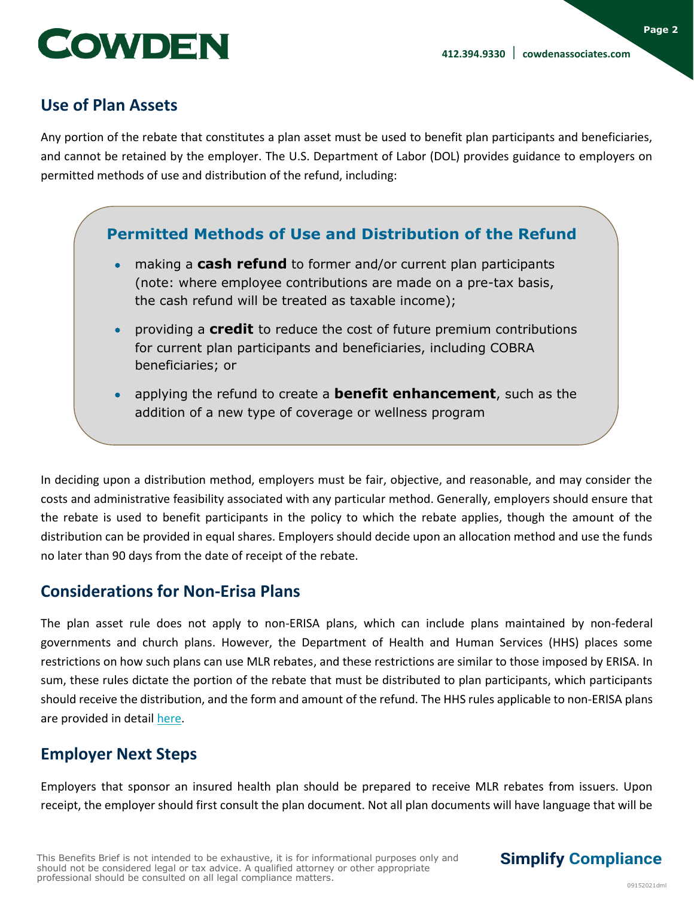**Page 2**



#### **Use of Plan Assets**

Any portion of the rebate that constitutes a plan asset must be used to benefit plan participants and beneficiaries, and cannot be retained by the employer. The U.S. Department of Labor (DOL) provides guidance to employers on permitted methods of use and distribution of the refund, including:

#### **Permitted Methods of Use and Distribution of the Refund**

- making a **cash refund** to former and/or current plan participants (note: where employee contributions are made on a pre-tax basis, the cash refund will be treated as taxable income);
- providing a **credit** to reduce the cost of future premium contributions for current plan participants and beneficiaries, including COBRA beneficiaries; or
- applying the refund to create a **benefit enhancement**, such as the addition of a new type of coverage or wellness program

In deciding upon a distribution method, employers must be fair, objective, and reasonable, and may consider the costs and administrative feasibility associated with any particular method. Generally, employers should ensure that the rebate is used to benefit participants in the policy to which the rebate applies, though the amount of the distribution can be provided in equal shares. Employers should decide upon an allocation method and use the funds no later than 90 days from the date of receipt of the rebate.

#### **Considerations for Non-Erisa Plans**

The plan asset rule does not apply to non-ERISA plans, which can include plans maintained by non-federal governments and church plans. However, the Department of Health and Human Services (HHS) places some restrictions on how such plans can use MLR rebates, and these restrictions are similar to those imposed by ERISA. In sum, these rules dictate the portion of the rebate that must be distributed to plan participants, which participants should receive the distribution, and the form and amount of the refund. The HHS rules applicable to non-ERISA plans are provided in detail [here.](https://www.federalregister.gov/documents/2011/12/07/2011-31291/medical-loss-ratio-rebate-requirements-for-non-federal-governmental-plans)

#### **Employer Next Steps**

Employers that sponsor an insured health plan should be prepared to receive MLR rebates from issuers. Upon receipt, the employer should first consult the plan document. Not all plan documents will have language that will be

#### **Simplify Compliance**